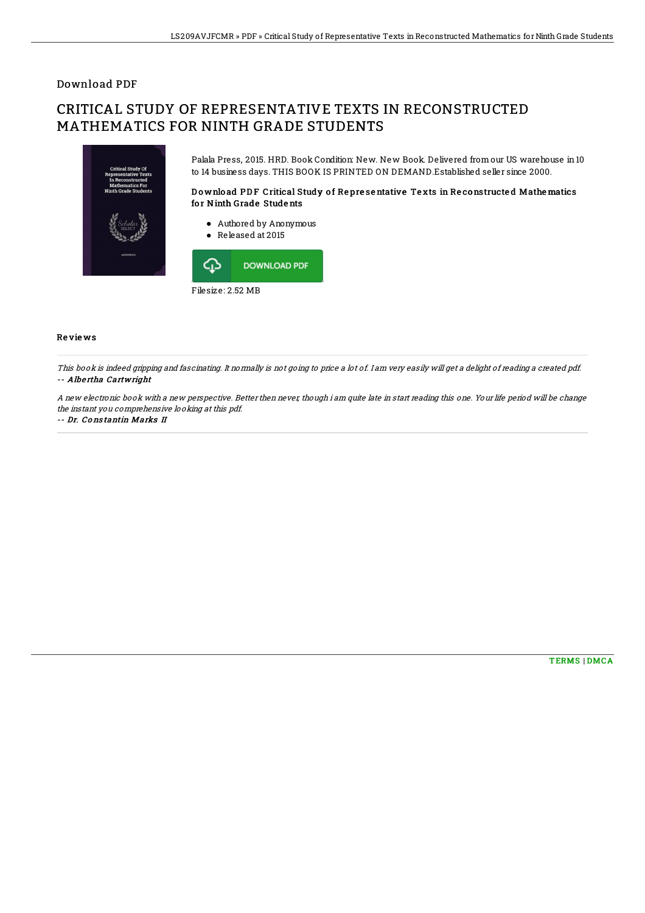## Download PDF

# CRITICAL STUDY OF REPRESENTATIVE TEXTS IN RECONSTRUCTED MATHEMATICS FOR NINTH GRADE STUDENTS



Filesize: 2.52 MB

### Re vie ws

This book is indeed gripping and fascinating. It normally is not going to price <sup>a</sup> lot of. I am very easily will get <sup>a</sup> delight of reading <sup>a</sup> created pdf. -- Albe rtha Cartwright

A new electronic book with <sup>a</sup> new perspective. Better then never, though i am quite late in start reading this one. Your life period will be change the instant you comprehensive looking at this pdf.

#### -- Dr. Co ns tantin Marks II